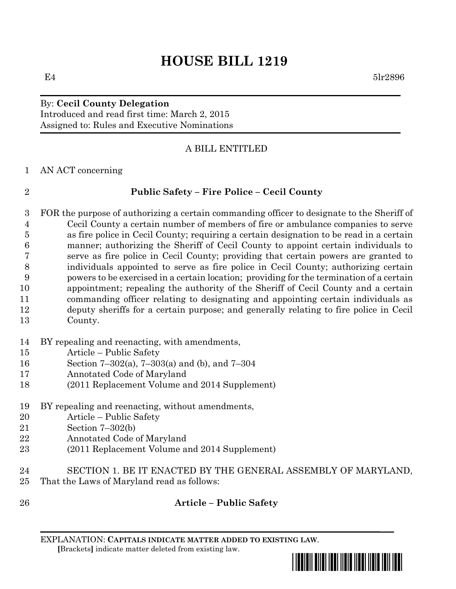# **HOUSE BILL 1219**

## By: **Cecil County Delegation**

Introduced and read first time: March 2, 2015 Assigned to: Rules and Executive Nominations

#### A BILL ENTITLED

AN ACT concerning

## **Public Safety – Fire Police – Cecil County**

- FOR the purpose of authorizing a certain commanding officer to designate to the Sheriff of Cecil County a certain number of members of fire or ambulance companies to serve as fire police in Cecil County; requiring a certain designation to be read in a certain manner; authorizing the Sheriff of Cecil County to appoint certain individuals to serve as fire police in Cecil County; providing that certain powers are granted to individuals appointed to serve as fire police in Cecil County; authorizing certain powers to be exercised in a certain location; providing for the termination of a certain appointment; repealing the authority of the Sheriff of Cecil County and a certain commanding officer relating to designating and appointing certain individuals as deputy sheriffs for a certain purpose; and generally relating to fire police in Cecil County.
- BY repealing and reenacting, with amendments,
- Article Public Safety
- Section 7–302(a), 7–303(a) and (b), and 7–304
- Annotated Code of Maryland
- (2011 Replacement Volume and 2014 Supplement)
- BY repealing and reenacting, without amendments,
- Article Public Safety
- Section 7–302(b)
- Annotated Code of Maryland
- (2011 Replacement Volume and 2014 Supplement)
- SECTION 1. BE IT ENACTED BY THE GENERAL ASSEMBLY OF MARYLAND,
- That the Laws of Maryland read as follows:
- 

## **Article – Public Safety**

EXPLANATION: **CAPITALS INDICATE MATTER ADDED TO EXISTING LAW**.  **[**Brackets**]** indicate matter deleted from existing law.



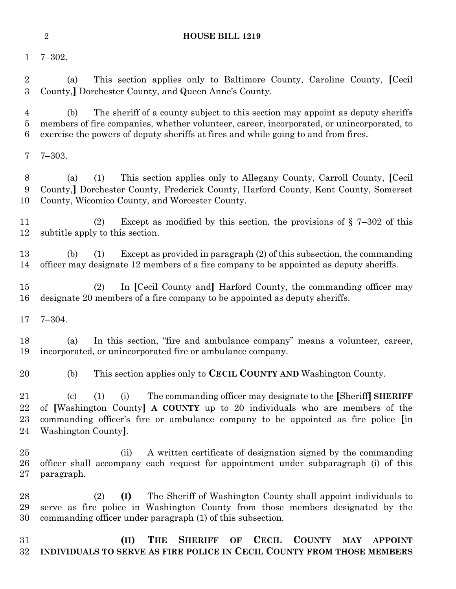#### **HOUSE BILL 1219**

7–302.

 (a) This section applies only to Baltimore County, Caroline County, **[**Cecil County,**]** Dorchester County, and Queen Anne's County.

 (b) The sheriff of a county subject to this section may appoint as deputy sheriffs members of fire companies, whether volunteer, career, incorporated, or unincorporated, to exercise the powers of deputy sheriffs at fires and while going to and from fires.

7–303.

 (a) (1) This section applies only to Allegany County, Carroll County, **[**Cecil County,**]** Dorchester County, Frederick County, Harford County, Kent County, Somerset County, Wicomico County, and Worcester County.

 (2) Except as modified by this section, the provisions of § 7–302 of this subtitle apply to this section.

 (b) (1) Except as provided in paragraph (2) of this subsection, the commanding officer may designate 12 members of a fire company to be appointed as deputy sheriffs.

 (2) In **[**Cecil County and**]** Harford County, the commanding officer may designate 20 members of a fire company to be appointed as deputy sheriffs.

7–304.

 (a) In this section, "fire and ambulance company" means a volunteer, career, incorporated, or unincorporated fire or ambulance company.

(b) This section applies only to **CECIL COUNTY AND** Washington County.

 (c) (1) (i) The commanding officer may designate to the **[**Sheriff**] SHERIFF** of **[**Washington County**] A COUNTY** up to 20 individuals who are members of the commanding officer's fire or ambulance company to be appointed as fire police **[**in Washington County**]**.

 (ii) A written certificate of designation signed by the commanding officer shall accompany each request for appointment under subparagraph (i) of this paragraph.

 (2) **(I)** The Sheriff of Washington County shall appoint individuals to serve as fire police in Washington County from those members designated by the commanding officer under paragraph (1) of this subsection.

 **(II) THE SHERIFF OF CECIL COUNTY MAY APPOINT INDIVIDUALS TO SERVE AS FIRE POLICE IN CECIL COUNTY FROM THOSE MEMBERS**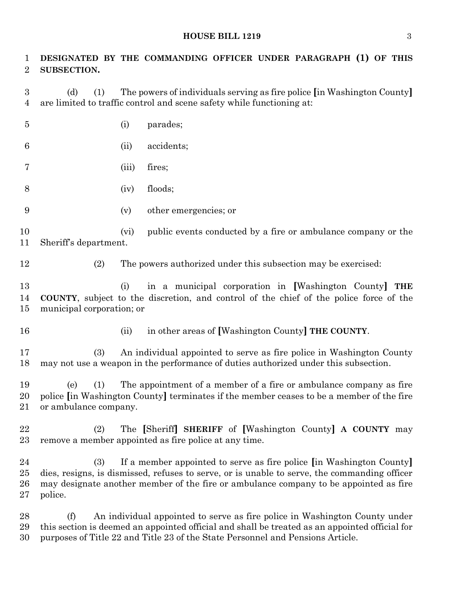#### **HOUSE BILL 1219** 3

| 1<br>$\overline{2}$                | SUBSECTION.                                                                                                                                                                                                                                                                          |       | DESIGNATED BY THE COMMANDING OFFICER UNDER PARAGRAPH (1) OF THIS                                                                                            |
|------------------------------------|--------------------------------------------------------------------------------------------------------------------------------------------------------------------------------------------------------------------------------------------------------------------------------------|-------|-------------------------------------------------------------------------------------------------------------------------------------------------------------|
| $\boldsymbol{3}$<br>$\overline{4}$ | The powers of individuals serving as fire police [in Washington County]<br>(d)<br>(1)<br>are limited to traffic control and scene safety while functioning at:                                                                                                                       |       |                                                                                                                                                             |
| $\overline{5}$                     |                                                                                                                                                                                                                                                                                      | (i)   | parades;                                                                                                                                                    |
| 6                                  |                                                                                                                                                                                                                                                                                      | (ii)  | accidents;                                                                                                                                                  |
| 7                                  |                                                                                                                                                                                                                                                                                      | (iii) | fires;                                                                                                                                                      |
| 8                                  |                                                                                                                                                                                                                                                                                      | (iv)  | floods;                                                                                                                                                     |
| 9                                  |                                                                                                                                                                                                                                                                                      | (v)   | other emergencies; or                                                                                                                                       |
| 10<br>11                           | Sheriff's department.                                                                                                                                                                                                                                                                | (vi)  | public events conducted by a fire or ambulance company or the                                                                                               |
| 12                                 | (2)                                                                                                                                                                                                                                                                                  |       | The powers authorized under this subsection may be exercised:                                                                                               |
| 13<br>14<br>15                     | in a municipal corporation in [Washington County]<br>(i)<br>THE<br><b>COUNTY</b> , subject to the discretion, and control of the chief of the police force of the<br>municipal corporation; or                                                                                       |       |                                                                                                                                                             |
| 16                                 |                                                                                                                                                                                                                                                                                      | (ii)  | in other areas of [Washington County] THE COUNTY.                                                                                                           |
| 17<br>18                           | (3)                                                                                                                                                                                                                                                                                  |       | An individual appointed to serve as fire police in Washington County<br>may not use a weapon in the performance of duties authorized under this subsection. |
| 19<br>20<br>21                     | The appointment of a member of a fire or ambulance company as fire<br>(1)<br>(e)<br>police [in Washington County] terminates if the member ceases to be a member of the fire<br>or ambulance company.                                                                                |       |                                                                                                                                                             |
| 22<br>23                           | (2)                                                                                                                                                                                                                                                                                  |       | The [Sheriff] SHERIFF of [Washington County] A COUNTY may<br>remove a member appointed as fire police at any time.                                          |
| 24<br>25<br>26<br>$\sqrt{27}$      | If a member appointed to serve as fire police <i>in</i> Washington County<br>(3)<br>dies, resigns, is dismissed, refuses to serve, or is unable to serve, the commanding officer<br>may designate another member of the fire or ambulance company to be appointed as fire<br>police. |       |                                                                                                                                                             |
| 28<br>29                           | An individual appointed to serve as fire police in Washington County under<br>(f)<br>this section is deemed an appointed official and shall be treated as an appointed official for                                                                                                  |       |                                                                                                                                                             |

purposes of Title 22 and Title 23 of the State Personnel and Pensions Article.